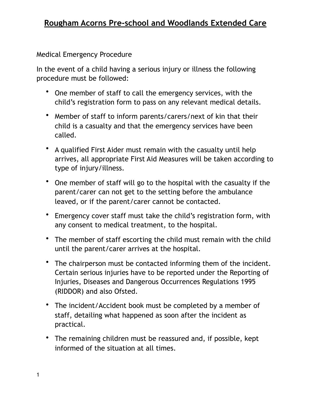Medical Emergency Procedure

In the event of a child having a serious injury or illness the following procedure must be followed:

- One member of staff to call the emergency services, with the child's registration form to pass on any relevant medical details.
- Member of staff to inform parents/carers/next of kin that their child is a casualty and that the emergency services have been called.
- A qualified First Aider must remain with the casualty until help arrives, all appropriate First Aid Measures will be taken according to type of injury/illness.
- One member of staff will go to the hospital with the casualty if the parent/carer can not get to the setting before the ambulance leaved, or if the parent/carer cannot be contacted.
- Emergency cover staff must take the child's registration form, with any consent to medical treatment, to the hospital.
- The member of staff escorting the child must remain with the child until the parent/carer arrives at the hospital.
- The chairperson must be contacted informing them of the incident. Certain serious injuries have to be reported under the Reporting of Injuries, Diseases and Dangerous Occurrences Regulations 1995 (RIDDOR) and also Ofsted.
- The incident/Accident book must be completed by a member of staff, detailing what happened as soon after the incident as practical.
- The remaining children must be reassured and, if possible, kept informed of the situation at all times.